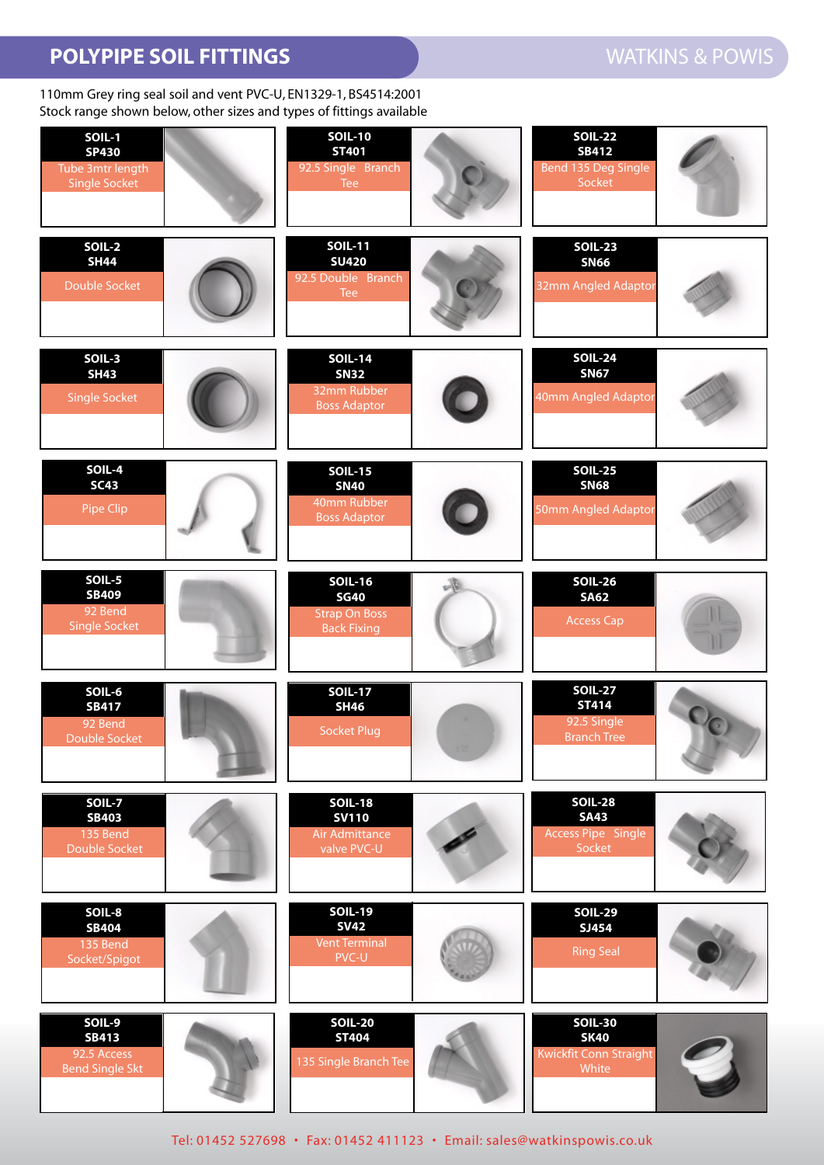## **POLYPIPE SOIL FITTINGS WATKINS & POWIS**

110mm Grey ring seal soil and vent PVC-U, EN1329-1, BS4514:2001 Stock range shown below, other sizes and types of fittings available

| <b>SOIL-1</b><br><b>SP430</b><br>Tube 3mtr length<br><b>Single Socket</b> | <b>SOIL-10</b><br><b>ST401</b><br>92.5 Single Branch<br>Tee                 | <b>SOIL-22</b><br><b>SB412</b><br>Bend 135 Deg Single<br>Socket           |
|---------------------------------------------------------------------------|-----------------------------------------------------------------------------|---------------------------------------------------------------------------|
| <b>SOIL-2</b><br><b>SH44</b><br>Double Socket                             | <b>SOIL-11</b><br><b>SU420</b><br>92.5 Double Branch<br>Tee                 | <b>SOIL-23</b><br><b>SN66</b><br>32mm Angled Adaptor                      |
| SOIL-3<br><b>SH43</b><br><b>Single Socket</b>                             | <b>SOIL-14</b><br><b>SN32</b><br>32mm Rubber<br><b>Boss Adaptor</b>         | <b>SOIL-24</b><br><b>SN67</b><br>40mm Angled Adaptor                      |
| SOIL-4<br><b>SC43</b><br>Pipe Clip                                        | <b>SOIL-15</b><br><b>SN40</b><br>40mm Rubber<br><b>Boss Adaptor</b>         | <b>SOIL-25</b><br><b>SN68</b><br>50mm Angled Adaptor                      |
| SOIL-5<br><b>SB409</b><br>92 Bend<br><b>Single Socket</b>                 | <b>SOIL-16</b><br><b>SG40</b><br><b>Strap On Boss</b><br><b>Back Fixing</b> | <b>SOIL-26</b><br><b>SA62</b><br><b>Access Cap</b>                        |
| SOIL-6<br><b>SB417</b><br>92 Bend<br>Double Socket                        | <b>SOIL-17</b><br><b>SH46</b><br><b>Socket Plug</b>                         | <b>SOIL-27</b><br><b>ST414</b><br>De<br>92.5 Single<br><b>Branch Tree</b> |
| SOIL-7<br><b>SB403</b><br>135 Bend<br>Double Socket                       | <b>SOIL-18</b><br><b>SV110</b><br>Air Admittance<br>valve PVC-U             | <b>SOIL-28</b><br><b>SA43</b><br><b>Access Pipe Single</b><br>Socket      |
| SOIL-8<br><b>SB404</b><br>135 Bend<br>Socket/Spigot                       | <b>SOIL-19</b><br><b>SV42</b><br><b>Vent Terminal</b><br>PVC-U              | <b>SOIL-29</b><br>SJ454<br><b>Ring Seal</b>                               |
| SOIL-9<br><b>SB413</b><br>92.5 Access<br><b>Bend Single Skt</b>           | <b>SOIL-20</b><br><b>ST404</b><br>135 Single Branch Tee                     | <b>SOIL-30</b><br><b>SK40</b><br><b>Kwickfit Conn Straight</b><br>White   |

Tel: 01452 527698 • Fax: 01452 411123 • Email: sales@watkinspowis.co.uk